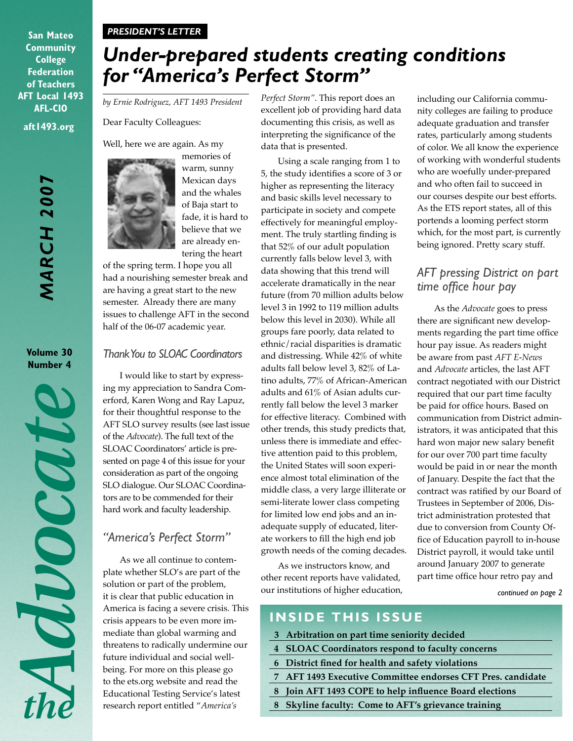#### *PRESIDENT'S LETTER*

**aft1493.org San Mateo Community College Federation of Teachers AFT Local 1493 AFL-CIO**

> *MARCH 2007* **MARCH 2007**

**Volume 30 Number 4**

Moood

*Under-prepared students creating conditions for "America's Perfect Storm"*

*by Ernie Rodriguez, AFT 1493 President*

Dear Faculty Colleagues:

Well, here we are again. As my



memories of warm, sunny Mexican days and the whales of Baja start to fade, it is hard to believe that we are already entering the heart

of the spring term. I hope you all had a nourishing semester break and are having a great start to the new semester. Already there are many issues to challenge AFT in the second half of the 06-07 academic year.

#### *Thank You to SLOAC Coordinators*

I would like to start by expressing my appreciation to Sandra Comerford, Karen Wong and Ray Lapuz, for their thoughtful response to the AFT SLO survey results (see last issue of the *Advocate*). The full text of the SLOAC Coordinators' article is presented on page 4 of this issue for your consideration as part of the ongoing SLO dialogue. Our SLOAC Coordinators are to be commended for their hard work and faculty leadership.

#### *"America's Perfect Storm"*

As we all continue to contemplate whether SLO's are part of the solution or part of the problem, it is clear that public education in America is facing a severe crisis. This crisis appears to be even more immediate than global warming and threatens to radically undermine our future individual and social wellbeing. For more on this please go to the ets.org website and read the Educational Testing Service's latest research report entitled "*America's* 

*Perfect Storm"*. This report does an excellent job of providing hard data documenting this crisis, as well as interpreting the significance of the data that is presented.

Using a scale ranging from 1 to 5, the study identifies a score of 3 or higher as representing the literacy and basic skills level necessary to participate in society and compete effectively for meaningful employment. The truly startling finding is that 52% of our adult population currently falls below level 3, with data showing that this trend will accelerate dramatically in the near future (from 70 million adults below level 3 in 1992 to 119 million adults below this level in 2030). While all groups fare poorly, data related to ethnic/racial disparities is dramatic and distressing. While 42% of white adults fall below level 3, 82% of Latino adults, 77% of African-American adults and 61% of Asian adults currently fall below the level 3 marker for effective literacy. Combined with other trends, this study predicts that, unless there is immediate and effective attention paid to this problem, the United States will soon experience almost total elimination of the middle class, a very large illiterate or semi-literate lower class competing for limited low end jobs and an inadequate supply of educated, literate workers to fill the high end job growth needs of the coming decades.

As we instructors know, and other recent reports have validated, our institutions of higher education,

including our California community colleges are failing to produce adequate graduation and transfer rates, particularly among students of color. We all know the experience of working with wonderful students who are woefully under-prepared and who often fail to succeed in our courses despite our best efforts. As the ETS report states, all of this portends a looming perfect storm which, for the most part, is currently being ignored. Pretty scary stuff.

#### *AFT pressing District on part time office hour pay*

As the *Advocate* goes to press there are significant new developments regarding the part time office hour pay issue. As readers might be aware from past *AFT E-News* and *Advocate* articles, the last AFT contract negotiated with our District required that our part time faculty be paid for office hours. Based on communication from District administrators, it was anticipated that this hard won major new salary benefit for our over 700 part time faculty would be paid in or near the month of January. Despite the fact that the contract was ratified by our Board of Trustees in September of 2006, District administration protested that due to conversion from County Office of Education payroll to in-house District payroll, it would take until around January 2007 to generate part time office hour retro pay and

*continued on page 2*

### **INSIDE THIS ISSUE**

- **3 Arbitration on part time seniority decided**
- **4 SLOAC Coordinators respond to faculty concerns**
- **6 District fined for health and safety violations**
- **7 AFT 1493 Executive Committee endorses CFT Pres. candidate**
- **8 Join AFT 1493 COPE to help influence Board elections**
- **8 Skyline faculty: Come to AFT's grievance training**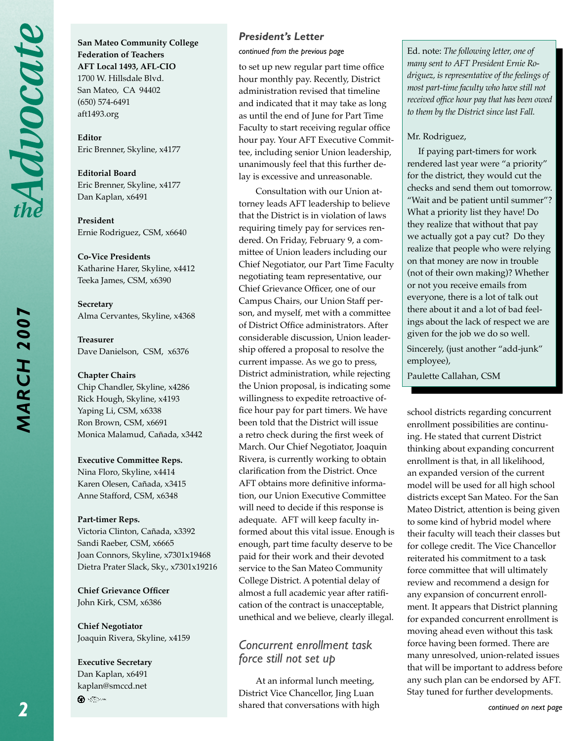*MARCH 2007*

**MARCH 2007** 

**San Mateo Community College Federation of Teachers AFT Local 1493, AFL-CIO** 1700 W. Hillsdale Blvd. San Mateo, CA 94402 (650) 574-6491 aft1493.org

**Editor**  Eric Brenner, Skyline, x4177

**Editorial Board** Eric Brenner, Skyline, x4177 Dan Kaplan, x6491

**President**  Ernie Rodriguez, CSM, x6640

**Co-Vice Presidents** Katharine Harer, Skyline, x4412 Teeka James, CSM, x6390

**Secretary** Alma Cervantes, Skyline, x4368

**Treasurer** Dave Danielson, CSM, x6376

**Chapter Chairs** Chip Chandler, Skyline, x4286 Rick Hough, Skyline, x4193 Yaping Li, CSM, x6338 Ron Brown, CSM, x6691 Monica Malamud, Cañada, x3442

**Executive Committee Reps.**

Nina Floro, Skyline, x4414 Karen Olesen, Cañada, x3415 Anne Stafford, CSM, x6348

#### **Part-timer Reps.**

Victoria Clinton, Cañada, x3392 Sandi Raeber, CSM, x6665 Joan Connors, Skyline, x7301x19468 Dietra Prater Slack, Sky., x7301x19216

**Chief Grievance Officer** John Kirk, CSM, x6386

**Chief Negotiator** Joaquin Rivera, Skyline, x4159

**Executive Secretary** Dan Kaplan, x6491 kaplan@smccd.net ⊕ <⊚∾

#### *President's Letter*

*continued from the previous page*

to set up new regular part time office hour monthly pay. Recently, District administration revised that timeline and indicated that it may take as long as until the end of June for Part Time Faculty to start receiving regular office hour pay. Your AFT Executive Committee, including senior Union leadership, unanimously feel that this further delay is excessive and unreasonable.

Consultation with our Union attorney leads AFT leadership to believe that the District is in violation of laws requiring timely pay for services rendered. On Friday, February 9, a committee of Union leaders including our Chief Negotiator, our Part Time Faculty negotiating team representative, our Chief Grievance Officer, one of our Campus Chairs, our Union Staff person, and myself, met with a committee of District Office administrators. After considerable discussion, Union leadership offered a proposal to resolve the current impasse. As we go to press, District administration, while rejecting the Union proposal, is indicating some willingness to expedite retroactive office hour pay for part timers. We have been told that the District will issue a retro check during the first week of March. Our Chief Negotiator, Joaquin Rivera, is currently working to obtain clarification from the District. Once AFT obtains more definitive information, our Union Executive Committee will need to decide if this response is adequate. AFT will keep faculty informed about this vital issue. Enough is enough, part time faculty deserve to be paid for their work and their devoted service to the San Mateo Community College District. A potential delay of almost a full academic year after ratification of the contract is unacceptable, unethical and we believe, clearly illegal.

#### *Concurrent enrollment task force still not set up*

At an informal lunch meeting, District Vice Chancellor, Jing Luan shared that conversations with high Ed. note: *The following letter, one of many sent to AFT President Ernie Rodriguez, is representative of the feelings of most part-time faculty who have still not received office hour pay that has been owed to them by the District since last Fall.*

#### Mr. Rodriguez,

 If paying part-timers for work rendered last year were "a priority" for the district, they would cut the checks and send them out tomorrow. "Wait and be patient until summer"? What a priority list they have! Do they realize that without that pay we actually got a pay cut? Do they realize that people who were relying on that money are now in trouble (not of their own making)? Whether or not you receive emails from everyone, there is a lot of talk out there about it and a lot of bad feelings about the lack of respect we are given for the job we do so well. Sincerely, (just another "add-junk" employee),

Paulette Callahan, CSM

school districts regarding concurrent enrollment possibilities are continuing. He stated that current District thinking about expanding concurrent enrollment is that, in all likelihood, an expanded version of the current model will be used for all high school districts except San Mateo. For the San Mateo District, attention is being given to some kind of hybrid model where their faculty will teach their classes but for college credit. The Vice Chancellor reiterated his commitment to a task force committee that will ultimately review and recommend a design for any expansion of concurrent enrollment. It appears that District planning for expanded concurrent enrollment is moving ahead even without this task force having been formed. There are many unresolved, union-related issues that will be important to address before any such plan can be endorsed by AFT. Stay tuned for further developments.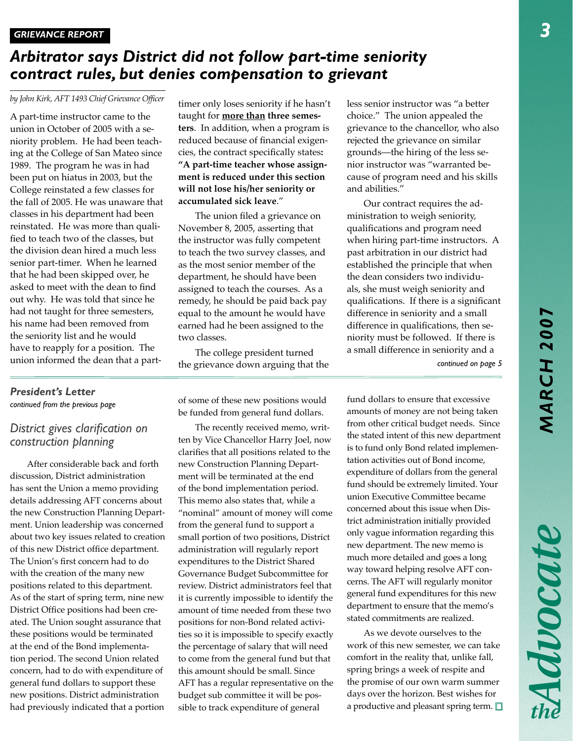Advocate

## *Arbitrator says District did not follow part-time seniority contract rules, but denies compensation to grievant*

*by John Kirk, AFT 1493 Chief Grievance Officer*

A part-time instructor came to the union in October of 2005 with a seniority problem. He had been teaching at the College of San Mateo since 1989. The program he was in had been put on hiatus in 2003, but the College reinstated a few classes for the fall of 2005. He was unaware that classes in his department had been reinstated. He was more than qualified to teach two of the classes, but the division dean hired a much less senior part-timer. When he learned that he had been skipped over, he asked to meet with the dean to find out why. He was told that since he had not taught for three semesters, his name had been removed from the seniority list and he would have to reapply for a position. The union informed the dean that a parttimer only loses seniority if he hasn't taught for **more than three semesters**. In addition, when a program is reduced because of financial exigencies, the contract specifically states**: "A part-time teacher whose assignment is reduced under this section will not lose his/her seniority or accumulated sick leave**."

The union filed a grievance on November 8, 2005, asserting that the instructor was fully competent to teach the two survey classes, and as the most senior member of the department, he should have been assigned to teach the courses. As a remedy, he should be paid back pay equal to the amount he would have earned had he been assigned to the two classes.

The college president turned the grievance down arguing that the less senior instructor was "a better choice." The union appealed the grievance to the chancellor, who also rejected the grievance on similar grounds—the hiring of the less senior instructor was "warranted because of program need and his skills and abilities."

Our contract requires the administration to weigh seniority, qualifications and program need when hiring part-time instructors. A past arbitration in our district had established the principle that when the dean considers two individuals, she must weigh seniority and qualifications. If there is a significant difference in seniority and a small difference in qualifications, then seniority must be followed. If there is a small difference in seniority and a

*continued on page 5*

#### *President's Letter continued from the previous page*

#### *District gives clarification on construction planning*

After considerable back and forth discussion, District administration has sent the Union a memo providing details addressing AFT concerns about the new Construction Planning Department. Union leadership was concerned about two key issues related to creation of this new District office department. The Union's first concern had to do with the creation of the many new positions related to this department. As of the start of spring term, nine new District Office positions had been created. The Union sought assurance that these positions would be terminated at the end of the Bond implementation period. The second Union related concern, had to do with expenditure of general fund dollars to support these new positions. District administration had previously indicated that a portion

of some of these new positions would be funded from general fund dollars.

The recently received memo, written by Vice Chancellor Harry Joel, now clarifies that all positions related to the new Construction Planning Department will be terminated at the end of the bond implementation period. This memo also states that, while a "nominal" amount of money will come from the general fund to support a small portion of two positions, District administration will regularly report expenditures to the District Shared Governance Budget Subcommittee for review. District administrators feel that it is currently impossible to identify the amount of time needed from these two positions for non-Bond related activities so it is impossible to specify exactly the percentage of salary that will need to come from the general fund but that this amount should be small. Since AFT has a regular representative on the budget sub committee it will be possible to track expenditure of general

fund dollars to ensure that excessive amounts of money are not being taken from other critical budget needs. Since the stated intent of this new department is to fund only Bond related implementation activities out of Bond income, expenditure of dollars from the general fund should be extremely limited. Your union Executive Committee became concerned about this issue when District administration initially provided only vague information regarding this new department. The new memo is much more detailed and goes a long way toward helping resolve AFT concerns. The AFT will regularly monitor general fund expenditures for this new department to ensure that the memo's stated commitments are realized.

As we devote ourselves to the work of this new semester, we can take comfort in the reality that, unlike fall, spring brings a week of respite and the promise of our own warm summer days over the horizon. Best wishes for a productive and pleasant spring term.  $\square$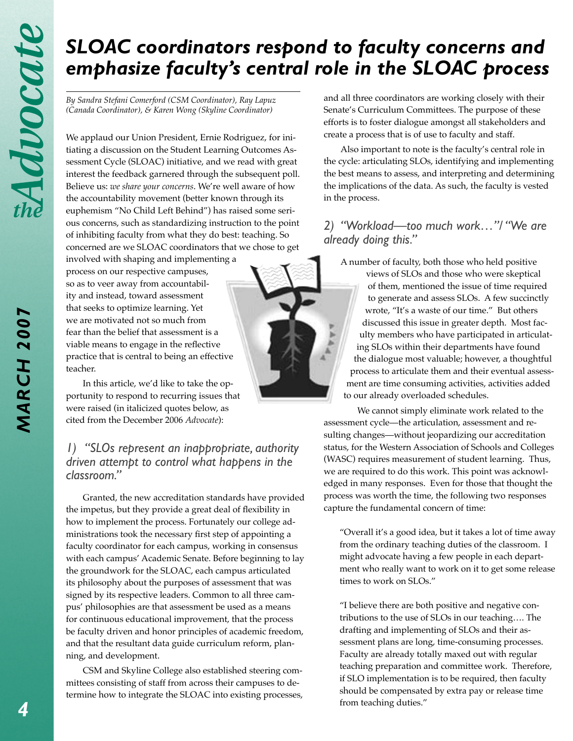# *SLOAC coordinators respond to faculty concerns and emphasize faculty's central role in the SLOAC process*

*By Sandra Stefani Comerford (CSM Coordinator), Ray Lapuz (Canada Coordinator), & Karen Wong (Skyline Coordinator)*

We applaud our Union President, Ernie Rodriguez, for initiating a discussion on the Student Learning Outcomes Assessment Cycle (SLOAC) initiative, and we read with great interest the feedback garnered through the subsequent poll. Believe us: *we share your concerns*. We're well aware of how the accountability movement (better known through its euphemism "No Child Left Behind") has raised some serious concerns, such as standardizing instruction to the point of inhibiting faculty from what they do best: teaching. So concerned are we SLOAC coordinators that we chose to get

involved with shaping and implementing a process on our respective campuses, so as to veer away from accountability and instead, toward assessment that seeks to optimize learning. Yet we are motivated not so much from fear than the belief that assessment is a viable means to engage in the reflective practice that is central to being an effective teacher.

In this article, we'd like to take the opportunity to respond to recurring issues that were raised (in italicized quotes below, as cited from the December 2006 *Advocate*):

#### *1) "SLOs represent an inappropriate, authority driven attempt to control what happens in the classroom."*

Granted, the new accreditation standards have provided the impetus, but they provide a great deal of flexibility in how to implement the process. Fortunately our college administrations took the necessary first step of appointing a faculty coordinator for each campus, working in consensus with each campus' Academic Senate. Before beginning to lay the groundwork for the SLOAC, each campus articulated its philosophy about the purposes of assessment that was signed by its respective leaders. Common to all three campus' philosophies are that assessment be used as a means for continuous educational improvement, that the process be faculty driven and honor principles of academic freedom, and that the resultant data guide curriculum reform, planning, and development.

CSM and Skyline College also established steering committees consisting of staff from across their campuses to determine how to integrate the SLOAC into existing processes, and all three coordinators are working closely with their Senate's Curriculum Committees. The purpose of these efforts is to foster dialogue amongst all stakeholders and create a process that is of use to faculty and staff.

Also important to note is the faculty's central role in the cycle: articulating SLOs, identifying and implementing the best means to assess, and interpreting and determining the implications of the data. As such, the faculty is vested in the process.

#### *2) "Workload—too much work…"/ "We are already doing this."*

A number of faculty, both those who held positive

views of SLOs and those who were skeptical of them, mentioned the issue of time required to generate and assess SLOs. A few succinctly wrote, "It's a waste of our time." But others discussed this issue in greater depth. Most faculty members who have participated in articulating SLOs within their departments have found the dialogue most valuable; however, a thoughtful process to articulate them and their eventual assessment are time consuming activities, activities added to our already overloaded schedules.

We cannot simply eliminate work related to the assessment cycle—the articulation, assessment and resulting changes—without jeopardizing our accreditation status, for the Western Association of Schools and Colleges (WASC) requires measurement of student learning. Thus, we are required to do this work. This point was acknowledged in many responses. Even for those that thought the process was worth the time, the following two responses capture the fundamental concern of time:

"Overall it's a good idea, but it takes a lot of time away from the ordinary teaching duties of the classroom. I might advocate having a few people in each department who really want to work on it to get some release times to work on SLOs."

"I believe there are both positive and negative contributions to the use of SLOs in our teaching…. The drafting and implementing of SLOs and their assessment plans are long, time-consuming processes. Faculty are already totally maxed out with regular teaching preparation and committee work. Therefore, if SLO implementation is to be required, then faculty should be compensated by extra pay or release time from teaching duties."

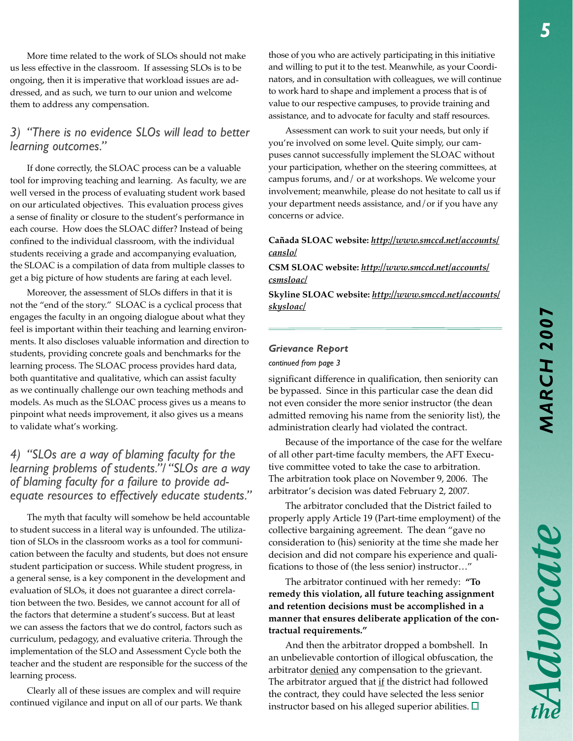Advocate

More time related to the work of SLOs should not make us less effective in the classroom. If assessing SLOs is to be ongoing, then it is imperative that workload issues are addressed, and as such, we turn to our union and welcome them to address any compensation.

#### *3) "There is no evidence SLOs will lead to better learning outcomes."*

If done correctly, the SLOAC process can be a valuable tool for improving teaching and learning. As faculty, we are well versed in the process of evaluating student work based on our articulated objectives. This evaluation process gives a sense of finality or closure to the student's performance in each course. How does the SLOAC differ? Instead of being confined to the individual classroom, with the individual students receiving a grade and accompanying evaluation, the SLOAC is a compilation of data from multiple classes to get a big picture of how students are faring at each level.

Moreover, the assessment of SLOs differs in that it is not the "end of the story." SLOAC is a cyclical process that engages the faculty in an ongoing dialogue about what they feel is important within their teaching and learning environments. It also discloses valuable information and direction to students, providing concrete goals and benchmarks for the learning process. The SLOAC process provides hard data, both quantitative and qualitative, which can assist faculty as we continually challenge our own teaching methods and models. As much as the SLOAC process gives us a means to pinpoint what needs improvement, it also gives us a means to validate what's working.

#### *4) "SLOs are a way of blaming faculty for the learning problems of students."/ "SLOs are a way of blaming faculty for a failure to provide adequate resources to effectively educate students."*

The myth that faculty will somehow be held accountable to student success in a literal way is unfounded. The utilization of SLOs in the classroom works as a tool for communication between the faculty and students, but does not ensure student participation or success. While student progress, in a general sense, is a key component in the development and evaluation of SLOs, it does not guarantee a direct correlation between the two. Besides, we cannot account for all of the factors that determine a student's success. But at least we can assess the factors that we do control, factors such as curriculum, pedagogy, and evaluative criteria. Through the implementation of the SLO and Assessment Cycle both the teacher and the student are responsible for the success of the learning process.

Clearly all of these issues are complex and will require continued vigilance and input on all of our parts. We thank

those of you who are actively participating in this initiative and willing to put it to the test. Meanwhile, as your Coordinators, and in consultation with colleagues, we will continue to work hard to shape and implement a process that is of value to our respective campuses, to provide training and assistance, and to advocate for faculty and staff resources.

Assessment can work to suit your needs, but only if you're involved on some level. Quite simply, our campuses cannot successfully implement the SLOAC without your participation, whether on the steering committees, at campus forums, and/ or at workshops. We welcome your involvement; meanwhile, please do not hesitate to call us if your department needs assistance, and/or if you have any concerns or advice.

#### **Cañada SLOAC website:** *http://www.smccd.net/accounts/ canslo/*

**CSM SLOAC website:** *http://www.smccd.net/accounts/ csmsloac/*

**Skyline SLOAC website:** *http://www.smccd.net/accounts/ skysloac/* 

#### *Grievance Report*

*continued from page 3*

significant difference in qualification, then seniority can be bypassed. Since in this particular case the dean did not even consider the more senior instructor (the dean admitted removing his name from the seniority list), the administration clearly had violated the contract.

Because of the importance of the case for the welfare of all other part-time faculty members, the AFT Executive committee voted to take the case to arbitration. The arbitration took place on November 9, 2006. The arbitrator's decision was dated February 2, 2007.

The arbitrator concluded that the District failed to properly apply Article 19 (Part-time employment) of the collective bargaining agreement. The dean "gave no consideration to (his) seniority at the time she made her decision and did not compare his experience and qualifications to those of (the less senior) instructor…"

The arbitrator continued with her remedy: **"To remedy this violation, all future teaching assignment and retention decisions must be accomplished in a manner that ensures deliberate application of the contractual requirements."**

And then the arbitrator dropped a bombshell. In an unbelievable contortion of illogical obfuscation, the arbitrator denied any compensation to the grievant. The arbitrator argued that if the district had followed the contract, they could have selected the less senior instructor based on his alleged superior abilities.  $\Box$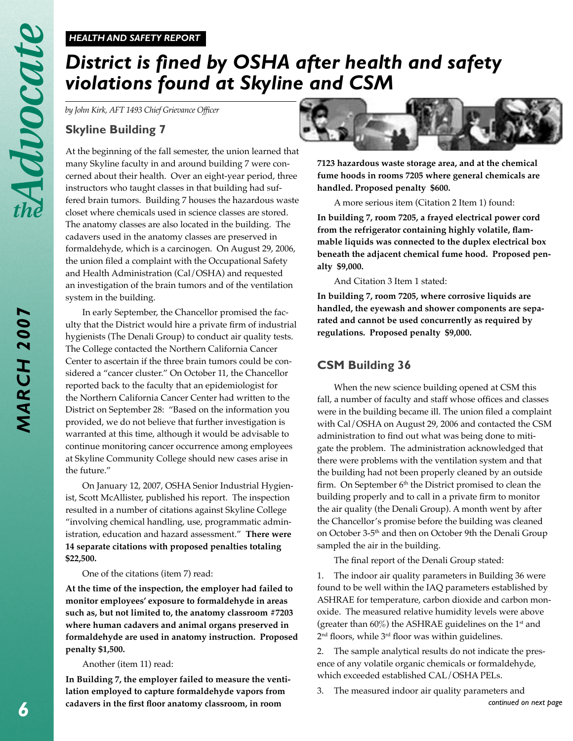#### *HEALTH AND SAFETY REPORT*

# *District is fined by OSHA after health and safety violations found at Skyline and CSM*

*by John Kirk, AFT 1493 Chief Grievance Officer*

#### **Skyline Building 7**

At the beginning of the fall semester, the union learned that many Skyline faculty in and around building 7 were concerned about their health. Over an eight-year period, three instructors who taught classes in that building had suffered brain tumors. Building 7 houses the hazardous waste closet where chemicals used in science classes are stored. The anatomy classes are also located in the building. The cadavers used in the anatomy classes are preserved in formaldehyde, which is a carcinogen. On August 29, 2006, the union filed a complaint with the Occupational Safety and Health Administration (Cal/OSHA) and requested an investigation of the brain tumors and of the ventilation system in the building.

In early September, the Chancellor promised the faculty that the District would hire a private firm of industrial hygienists (The Denali Group) to conduct air quality tests. The College contacted the Northern California Cancer Center to ascertain if the three brain tumors could be considered a "cancer cluster." On October 11, the Chancellor reported back to the faculty that an epidemiologist for the Northern California Cancer Center had written to the District on September 28: "Based on the information you provided, we do not believe that further investigation is warranted at this time, although it would be advisable to continue monitoring cancer occurrence among employees at Skyline Community College should new cases arise in the future."

On January 12, 2007, OSHA Senior Industrial Hygienist, Scott McAllister, published his report. The inspection resulted in a number of citations against Skyline College "involving chemical handling, use, programmatic administration, education and hazard assessment." **There were 14 separate citations with proposed penalties totaling \$22,500.**

One of the citations (item 7) read:

**At the time of the inspection, the employer had failed to monitor employees' exposure to formaldehyde in areas such as, but not limited to, the anatomy classroom #7203 where human cadavers and animal organs preserved in formaldehyde are used in anatomy instruction. Proposed penalty \$1,500.**

#### Another (item 11) read:

**In Building 7, the employer failed to measure the ventilation employed to capture formaldehyde vapors from cadavers in the first floor anatomy classroom, in room** 



**7123 hazardous waste storage area, and at the chemical fume hoods in rooms 7205 where general chemicals are handled. Proposed penalty \$600.**

A more serious item (Citation 2 Item 1) found:

**In building 7, room 7205, a frayed electrical power cord from the refrigerator containing highly volatile, flammable liquids was connected to the duplex electrical box beneath the adjacent chemical fume hood. Proposed penalty \$9,000.**

And Citation 3 Item 1 stated:

**In building 7, room 7205, where corrosive liquids are handled, the eyewash and shower components are separated and cannot be used concurrently as required by regulations. Proposed penalty \$9,000.**

#### **CSM Building 36**

When the new science building opened at CSM this fall, a number of faculty and staff whose offices and classes were in the building became ill. The union filed a complaint with Cal/OSHA on August 29, 2006 and contacted the CSM administration to find out what was being done to mitigate the problem. The administration acknowledged that there were problems with the ventilation system and that the building had not been properly cleaned by an outside firm. On September  $6<sup>th</sup>$  the District promised to clean the building properly and to call in a private firm to monitor the air quality (the Denali Group). A month went by after the Chancellor's promise before the building was cleaned on October 3-5th and then on October 9th the Denali Group sampled the air in the building.

The final report of the Denali Group stated:

1. The indoor air quality parameters in Building 36 were found to be well within the IAQ parameters established by ASHRAE for temperature, carbon dioxide and carbon monoxide. The measured relative humidity levels were above (greater than  $60\%$ ) the ASHRAE guidelines on the 1<sup>st</sup> and 2nd floors, while 3rd floor was within guidelines.

2. The sample analytical results do not indicate the presence of any volatile organic chemicals or formaldehyde, which exceeded established CAL/OSHA PELs.

*continued on next page*

3. The measured indoor air quality parameters and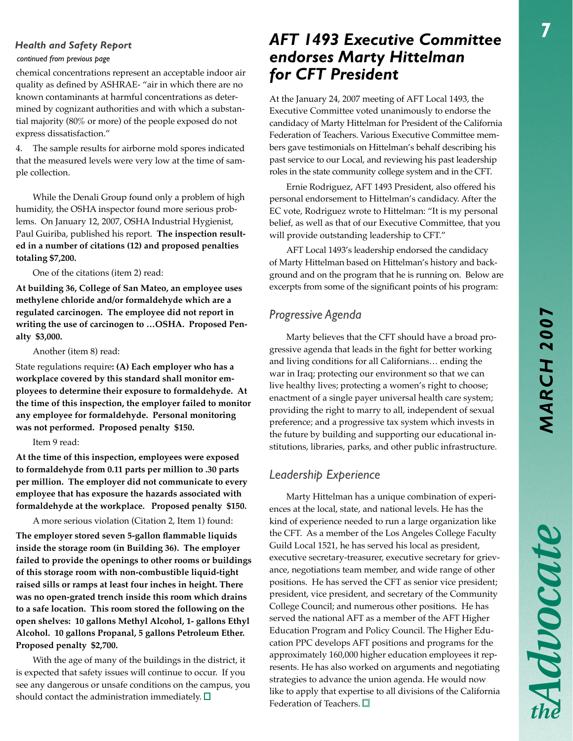# *MARCH 2007* MARCH 200

Advocate

#### *Health and Safety Report*

*continued from previous page*

chemical concentrations represent an acceptable indoor air quality as defined by ASHRAE- "air in which there are no known contaminants at harmful concentrations as determined by cognizant authorities and with which a substantial majority (80% or more) of the people exposed do not express dissatisfaction."

4. The sample results for airborne mold spores indicated that the measured levels were very low at the time of sample collection.

While the Denali Group found only a problem of high humidity, the OSHA inspector found more serious problems. On January 12, 2007, OSHA Industrial Hygienist, Paul Guiriba, published his report. **The inspection resulted in a number of citations (12) and proposed penalties totaling \$7,200.**

One of the citations (item 2) read:

**At building 36, College of San Mateo, an employee uses methylene chloride and/or formaldehyde which are a regulated carcinogen. The employee did not report in writing the use of carcinogen to …OSHA. Proposed Penalty \$3,000.**

Another (item 8) read:

State regulations require**: (A) Each employer who has a workplace covered by this standard shall monitor employees to determine their exposure to formaldehyde. At the time of this inspection, the employer failed to monitor any employee for formaldehyde. Personal monitoring was not performed. Proposed penalty \$150.**

#### Item 9 read:

**At the time of this inspection, employees were exposed to formaldehyde from 0.11 parts per million to .30 parts per million. The employer did not communicate to every employee that has exposure the hazards associated with formaldehyde at the workplace. Proposed penalty \$150.**

A more serious violation (Citation 2, Item 1) found:

**The employer stored seven 5-gallon flammable liquids inside the storage room (in Building 36). The employer failed to provide the openings to other rooms or buildings of this storage room with non-combustible liquid-tight raised sills or ramps at least four inches in height. There was no open-grated trench inside this room which drains to a safe location. This room stored the following on the open shelves: 10 gallons Methyl Alcohol, 1- gallons Ethyl Alcohol. 10 gallons Propanal, 5 gallons Petroleum Ether. Proposed penalty \$2,700.**

With the age of many of the buildings in the district, it is expected that safety issues will continue to occur. If you see any dangerous or unsafe conditions on the campus, you should contact the administration immediately.  $\square$ 

## *AFT 1493 Executive Committee endorses Marty Hittelman for CFT President*

At the January 24, 2007 meeting of AFT Local 1493, the Executive Committee voted unanimously to endorse the candidacy of Marty Hittelman for President of the California Federation of Teachers. Various Executive Committee members gave testimonials on Hittelman's behalf describing his past service to our Local, and reviewing his past leadership roles in the state community college system and in the CFT.

Ernie Rodriguez, AFT 1493 President, also offered his personal endorsement to Hittelman's candidacy. After the EC vote, Rodriguez wrote to Hittelman: "It is my personal belief, as well as that of our Executive Committee, that you will provide outstanding leadership to CFT."

AFT Local 1493's leadership endorsed the candidacy of Marty Hittelman based on Hittelman's history and background and on the program that he is running on. Below are excerpts from some of the significant points of his program:

### *Progressive Agenda*

Marty believes that the CFT should have a broad progressive agenda that leads in the fight for better working and living conditions for all Californians… ending the war in Iraq; protecting our environment so that we can live healthy lives; protecting a women's right to choose; enactment of a single payer universal health care system; providing the right to marry to all, independent of sexual preference; and a progressive tax system which invests in the future by building and supporting our educational institutions, libraries, parks, and other public infrastructure.

#### *Leadership Experience*

Marty Hittelman has a unique combination of experiences at the local, state, and national levels. He has the kind of experience needed to run a large organization like the CFT. As a member of the Los Angeles College Faculty Guild Local 1521, he has served his local as president, executive secretary-treasurer, executive secretary for grievance, negotiations team member, and wide range of other positions. He has served the CFT as senior vice president; president, vice president, and secretary of the Community College Council; and numerous other positions. He has served the national AFT as a member of the AFT Higher Education Program and Policy Council. The Higher Education PPC develops AFT positions and programs for the approximately 160,000 higher education employees it represents. He has also worked on arguments and negotiating strategies to advance the union agenda. He would now like to apply that expertise to all divisions of the California Federation of Teachers.